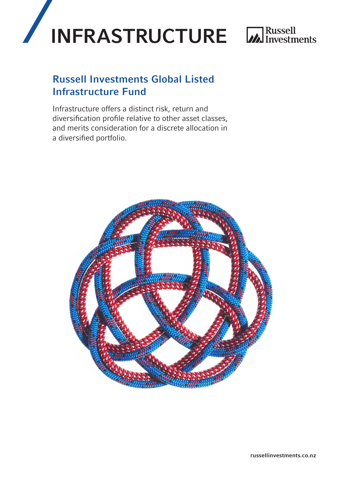

## Russell Investments Global Listed Infrastructure Fund

Infrastructure offers a distinct risk, return and diversification profile relative to other asset classes, and merits consideration for a discrete allocation in a diversified portfolio.

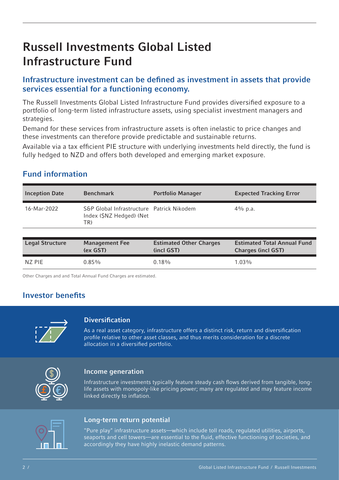# Russell Investments Global Listed Infrastructure Fund

### Infrastructure investment can be defined as investment in assets that provide services essential for a functioning economy.

The Russell Investments Global Listed Infrastructure Fund provides diversified exposure to a portfolio of long-term listed infrastructure assets, using specialist investment managers and strategies.

Demand for these services from infrastructure assets is often inelastic to price changes and these investments can therefore provide predictable and sustainable returns.

Available via a tax efficient PIE structure with underlying investments held directly, the fund is fully hedged to NZD and offers both developed and emerging market exposure.

### Fund information

| <b>Inception Date</b> | <b>Benchmark</b>                                                             | <b>Portfolio Manager</b> | <b>Expected Tracking Error</b> |
|-----------------------|------------------------------------------------------------------------------|--------------------------|--------------------------------|
| 16-Mar-2022           | S&P Global Infrastructure Patrick Nikodem<br>Index (\$NZ Hedged) (Net<br>TR) |                          | $4\%$ p.a.                     |

| <b>Legal Structure</b> | <b>Management Fee</b> | <b>Estimated Other Charges</b> | <b>Estimated Total Annual Fund</b> |
|------------------------|-----------------------|--------------------------------|------------------------------------|
|                        | (ex GST)              | (incl GST)                     | <b>Charges (incl GST)</b>          |
| NZ PIE                 | 0.85%                 | $0.18\%$                       | $1.03\%$                           |

Other Charges and and Total Annual Fund Charges are estimated.

### Investor benefits



#### **Diversification**

As a real asset category, infrastructure offers a distinct risk, return and diversification profile relative to other asset classes, and thus merits consideration for a discrete allocation in a diversified portfolio.



#### Income generation

Infrastructure investments typically feature steady cash flows derived from tangible, longlife assets with monopoly-like pricing power; many are regulated and may feature income linked directly to inflation.



### Long-term return potential

"Pure play" infrastructure assets—which include toll roads, regulated utilities, airports, seaports and cell towers—are essential to the fluid, effective functioning of societies, and accordingly they have highly inelastic demand patterns.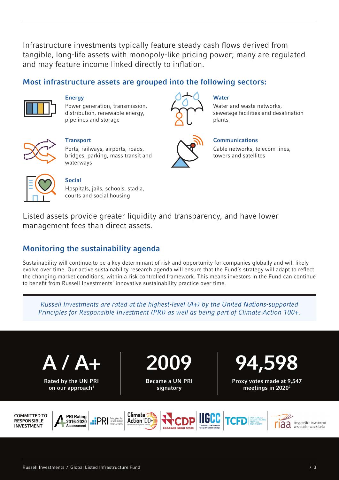Infrastructure investments typically feature steady cash flows derived from tangible, long-life assets with monopoly-like pricing power; many are regulated and may feature income linked directly to inflation.

### Most infrastructure assets are grouped into the following sectors:



**Energy** 

Power generation, transmission, distribution, renewable energy, pipelines and storage



#### **Water**

Water and waste networks, sewerage facilities and desalination plants



**Transport** 

Ports, railways, airports, roads, bridges, parking, mass transit and waterways



#### **Communications**

Cable networks, telecom lines, towers and satellites



#### Social

Hospitals, jails, schools, stadia, courts and social housing

Listed assets provide greater liquidity and transparency, and have lower management fees than direct assets.

### Monitoring the sustainability agenda

Sustainability will continue to be a key determinant of risk and opportunity for companies globally and will likely evolve over time. Our active sustainability research agenda will ensure that the Fund's strategy will adapt to reflect the changing market conditions, within a risk controlled framework. This means investors in the Fund can continue to benefit from Russell Investments' innovative sustainability practice over time.

*Russell Investments are rated at the highest-level (A+) by the United Nations-supported Principles for Responsible Investment (PRI) as well as being part of Climate Action 100+.*



Rated by the UN PRI on our approach<sup>1</sup>

2009

Became a UN PRI signatory

Climate<sup>-</sup>



Proxy votes made at 9,547 meetings in 2020<sup>2</sup>







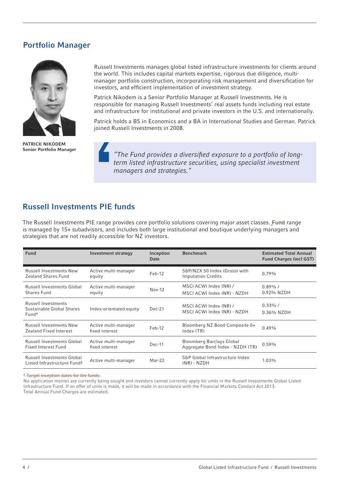### Portfolio Manager



PATRICK NIKODEM Senior Portfolio Manager

Russell Investments manages global listed infrastructure investments for clients around the world. This includes capital markets expertise, rigorous due diligence, multimanager portfolio construction, incorporating risk management and diversification for investors, and efficient implementation of investment strategy.

Patrick Nikodem is a Senior Portfolio Manager at Russell Investments. He is responsible for managing Russell Investments' real assets funds including real estate and infrastructure for institutional and private investors in the U.S. and internationally.

Patrick holds a BS in Economics and a BA in International Studies and German. Patrick joined Russell Investments in 2008.

*"The Fund provides a diversified exposure to a portfolio of longterm listed infrastructure securities, using specialist investment managers and strategies."*

### Russell Investments PIE funds

The Russell Investments PIE range provides core portfolio solutions covering major asset classes. Fund range is managed by 15+ subadvisors, and includes both large institutional and boutique underlying managers and strategies that are not readily accessible for NZ investors.

| <b>Fund</b>                                                           | <b>Investment strategy</b>             | Inception<br>Date | <b>Benchmark</b>                                                     | <b>Estimated Total Annual</b><br><b>Fund Charges (incl GST)</b> |
|-----------------------------------------------------------------------|----------------------------------------|-------------------|----------------------------------------------------------------------|-----------------------------------------------------------------|
| <b>Russell Investments New</b><br>Zealand Shares Fund                 | Active multi-manager<br>equity         | $Feb-12$          | S&P/NZX 50 Index (Gross) with<br><b>Imputation Credits</b>           | 0.79%                                                           |
| Russell Investments Global<br>Shares Fund                             | Active multi-manager<br>equity         | $Nov-12$          | MSCI ACWI Index (NR) /<br>MSCI ACWI Index (NR) - NZDH                | $0.89\%$ /<br>0.92% NZDH                                        |
| <b>Russell Investments</b><br>Sustainable Global Shares<br>$Fund*$    | Index-orientated equity                | $Dec-21$          | MSCI ACWI Index (NR) /<br>MSCI ACWI Index (NR) - NZDH                | $0.33\%$ /<br>0.36% NZDH                                        |
| <b>Russell Investments New</b><br>Zealand Fixed Interest              | Active multi-manager<br>fixed interest | Feb-12            | Bloomberg NZ Bond Composite 0+<br>Index (TR)                         | 0.49%                                                           |
| <b>Russell Investments Global</b><br>Fixed Interest Fund              | Active multi-manager<br>fixed interest | $Dec-11$          | <b>Bloomberg Barclays Global</b><br>Aggregate Bond Index - NZDH (TR) | $0.59\%$                                                        |
| Russell Investments Global<br>Listed Infrastructure Fund <sup>*</sup> | Active multi-manager                   | Mar-22            | S&P Global Infrastructure Index<br>$(NR) - NZDH$                     | $1.03\%$                                                        |

\* Target inception dates for the funds.

No application monies are currently being sought and investors cannot currently apply for units in the Russell Investments Global Listed Infrastructure Fund. If an offer of units is made, it will be made in accordance with the Financial Markets Conduct Act 2013. Total Annual Fund Charges are estimated.